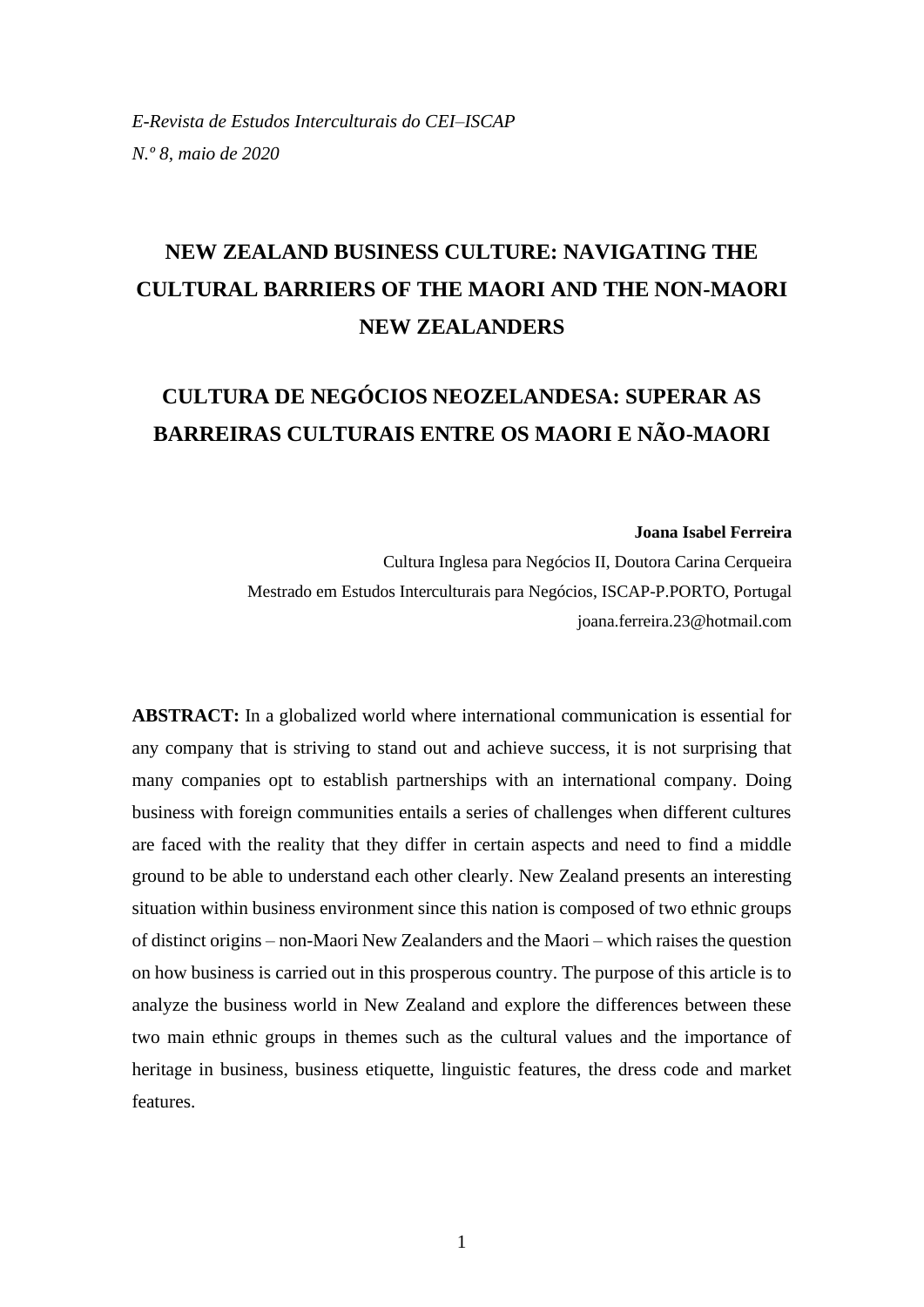# **NEW ZEALAND BUSINESS CULTURE: NAVIGATING THE CULTURAL BARRIERS OF THE MAORI AND THE NON-MAORI NEW ZEALANDERS**

## **CULTURA DE NEGÓCIOS NEOZELANDESA: SUPERAR AS BARREIRAS CULTURAIS ENTRE OS MAORI E NÃO-MAORI**

#### **Joana Isabel Ferreira**

Cultura Inglesa para Negócios II, Doutora Carina Cerqueira Mestrado em Estudos Interculturais para Negócios, ISCAP-P.PORTO, Portugal joana.ferreira.23@hotmail.com

**ABSTRACT:** In a globalized world where international communication is essential for any company that is striving to stand out and achieve success, it is not surprising that many companies opt to establish partnerships with an international company. Doing business with foreign communities entails a series of challenges when different cultures are faced with the reality that they differ in certain aspects and need to find a middle ground to be able to understand each other clearly. New Zealand presents an interesting situation within business environment since this nation is composed of two ethnic groups of distinct origins – non-Maori New Zealanders and the Maori – which raises the question on how business is carried out in this prosperous country. The purpose of this article is to analyze the business world in New Zealand and explore the differences between these two main ethnic groups in themes such as the cultural values and the importance of heritage in business, business etiquette, linguistic features, the dress code and market features.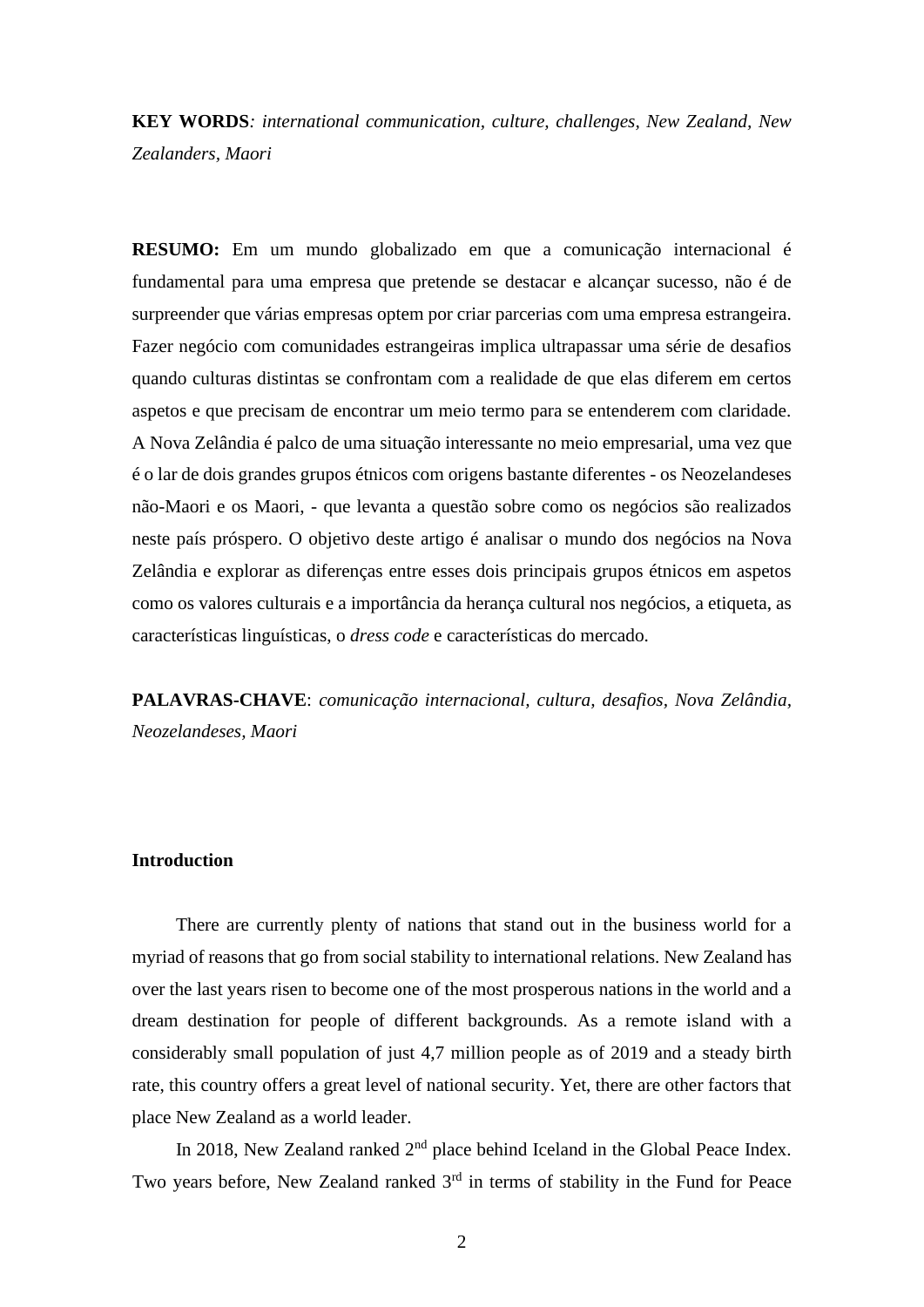**KEY WORDS***: international communication, culture, challenges, New Zealand, New Zealanders, Maori*

**RESUMO:** Em um mundo globalizado em que a comunicação internacional é fundamental para uma empresa que pretende se destacar e alcançar sucesso, não é de surpreender que várias empresas optem por criar parcerias com uma empresa estrangeira. Fazer negócio com comunidades estrangeiras implica ultrapassar uma série de desafios quando culturas distintas se confrontam com a realidade de que elas diferem em certos aspetos e que precisam de encontrar um meio termo para se entenderem com claridade. A Nova Zelândia é palco de uma situação interessante no meio empresarial, uma vez que é o lar de dois grandes grupos étnicos com origens bastante diferentes - os Neozelandeses não-Maori e os Maori, - que levanta a questão sobre como os negócios são realizados neste país próspero. O objetivo deste artigo é analisar o mundo dos negócios na Nova Zelândia e explorar as diferenças entre esses dois principais grupos étnicos em aspetos como os valores culturais e a importância da herança cultural nos negócios, a etiqueta, as características linguísticas, o *dress code* e características do mercado.

**PALAVRAS-CHAVE**: *comunicação internacional, cultura, desafios, Nova Zelândia, Neozelandeses, Maori*

## **Introduction**

There are currently plenty of nations that stand out in the business world for a myriad of reasons that go from social stability to international relations. New Zealand has over the last years risen to become one of the most prosperous nations in the world and a dream destination for people of different backgrounds. As a remote island with a considerably small population of just 4,7 million people as of 2019 and a steady birth rate, this country offers a great level of national security. Yet, there are other factors that place New Zealand as a world leader.

In 2018, New Zealand ranked 2<sup>nd</sup> place behind Iceland in the Global Peace Index. Two years before, New Zealand ranked  $3<sup>rd</sup>$  in terms of stability in the Fund for Peace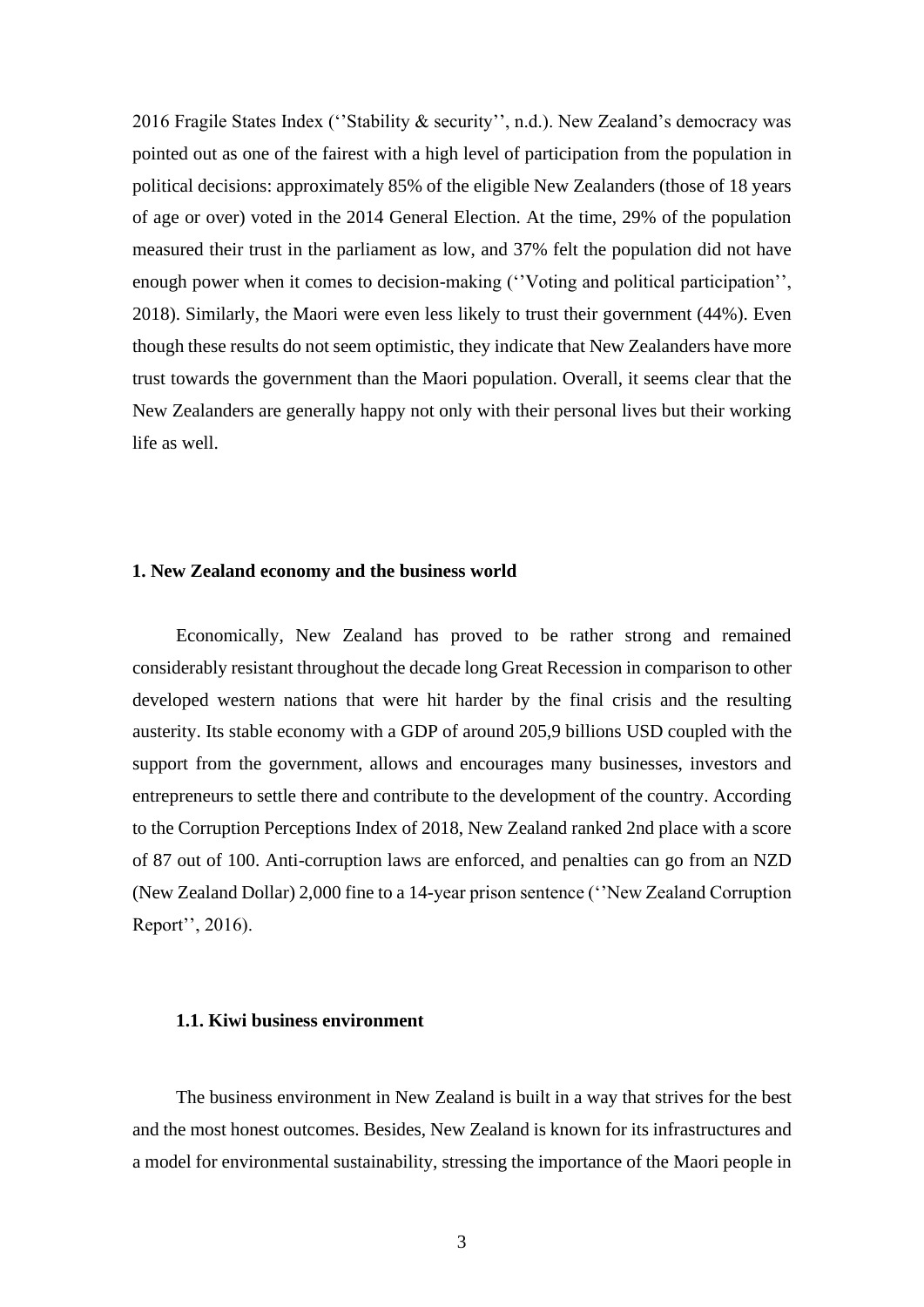2016 Fragile States Index ("Stability & security", n.d.). New Zealand's democracy was pointed out as one of the fairest with a high level of participation from the population in political decisions: approximately 85% of the eligible New Zealanders (those of 18 years of age or over) voted in the 2014 General Election. At the time, 29% of the population measured their trust in the parliament as low, and 37% felt the population did not have enough power when it comes to decision-making (''Voting and political participation'', 2018). Similarly, the Maori were even less likely to trust their government (44%). Even though these results do not seem optimistic, they indicate that New Zealanders have more trust towards the government than the Maori population. Overall, it seems clear that the New Zealanders are generally happy not only with their personal lives but their working life as well.

#### **1. New Zealand economy and the business world**

Economically, New Zealand has proved to be rather strong and remained considerably resistant throughout the decade long Great Recession in comparison to other developed western nations that were hit harder by the final crisis and the resulting austerity. Its stable economy with a GDP of around 205,9 billions USD coupled with the support from the government, allows and encourages many businesses, investors and entrepreneurs to settle there and contribute to the development of the country. According to the Corruption Perceptions Index of 2018, New Zealand ranked 2nd place with a score of 87 out of 100. Anti-corruption laws are enforced, and penalties can go from an NZD (New Zealand Dollar) 2,000 fine to a 14-year prison sentence (''New Zealand Corruption Report'', 2016).

## **1.1. Kiwi business environment**

The business environment in New Zealand is built in a way that strives for the best and the most honest outcomes. Besides, New Zealand is known for its infrastructures and a model for environmental sustainability, stressing the importance of the Maori people in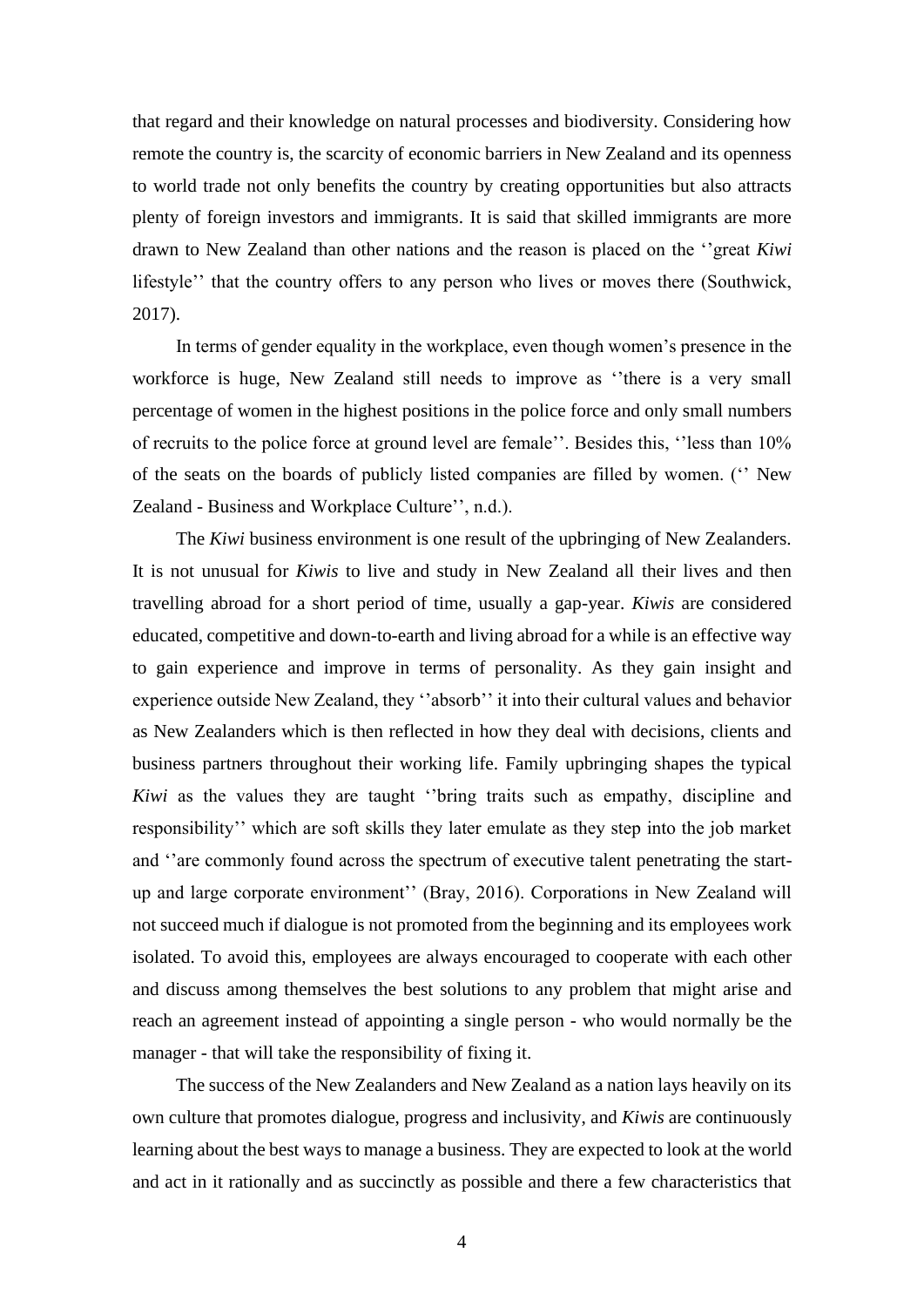that regard and their knowledge on natural processes and biodiversity. Considering how remote the country is, the scarcity of economic barriers in New Zealand and its openness to world trade not only benefits the country by creating opportunities but also attracts plenty of foreign investors and immigrants. It is said that skilled immigrants are more drawn to New Zealand than other nations and the reason is placed on the ''great *Kiwi* lifestyle'' that the country offers to any person who lives or moves there (Southwick, 2017).

In terms of gender equality in the workplace, even though women's presence in the workforce is huge, New Zealand still needs to improve as ''there is a very small percentage of women in the highest positions in the police force and only small numbers of recruits to the police force at ground level are female''. Besides this, ''less than 10% of the seats on the boards of publicly listed companies are filled by women. ('' New Zealand - Business and Workplace Culture'', n.d.).

The *Kiwi* business environment is one result of the upbringing of New Zealanders. It is not unusual for *Kiwis* to live and study in New Zealand all their lives and then travelling abroad for a short period of time, usually a gap-year. *Kiwis* are considered educated, competitive and down-to-earth and living abroad for a while is an effective way to gain experience and improve in terms of personality. As they gain insight and experience outside New Zealand, they ''absorb'' it into their cultural values and behavior as New Zealanders which is then reflected in how they deal with decisions, clients and business partners throughout their working life. Family upbringing shapes the typical *Kiwi* as the values they are taught ''bring traits such as empathy, discipline and responsibility'' which are soft skills they later emulate as they step into the job market and ''are commonly found across the spectrum of executive talent penetrating the startup and large corporate environment'' (Bray, 2016). Corporations in New Zealand will not succeed much if dialogue is not promoted from the beginning and its employees work isolated. To avoid this, employees are always encouraged to cooperate with each other and discuss among themselves the best solutions to any problem that might arise and reach an agreement instead of appointing a single person - who would normally be the manager - that will take the responsibility of fixing it.

The success of the New Zealanders and New Zealand as a nation lays heavily on its own culture that promotes dialogue, progress and inclusivity, and *Kiwis* are continuously learning about the best ways to manage a business. They are expected to look at the world and act in it rationally and as succinctly as possible and there a few characteristics that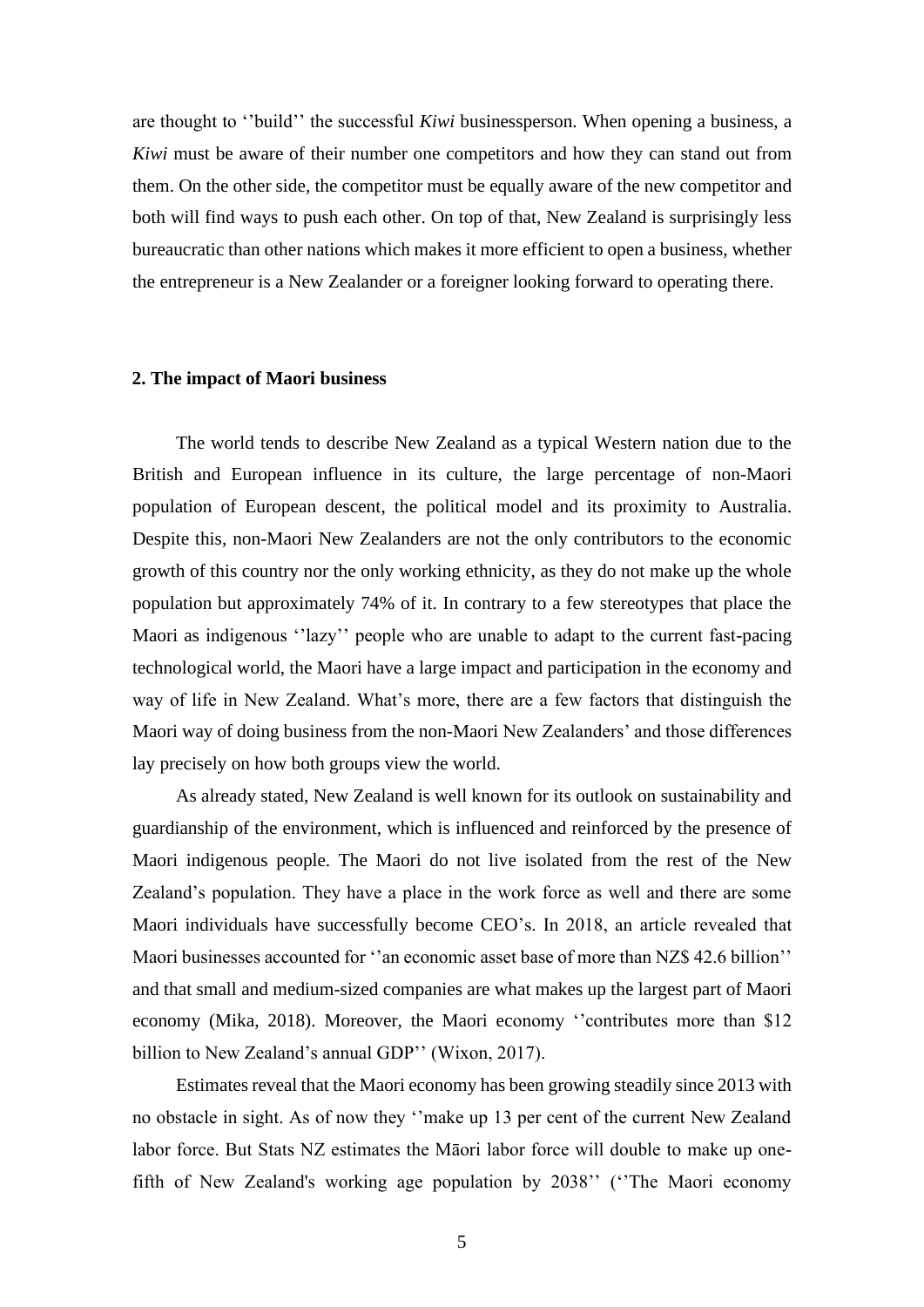are thought to ''build'' the successful *Kiwi* businessperson. When opening a business, a *Kiwi* must be aware of their number one competitors and how they can stand out from them. On the other side, the competitor must be equally aware of the new competitor and both will find ways to push each other. On top of that, New Zealand is surprisingly less bureaucratic than other nations which makes it more efficient to open a business, whether the entrepreneur is a New Zealander or a foreigner looking forward to operating there.

#### **2. The impact of Maori business**

The world tends to describe New Zealand as a typical Western nation due to the British and European influence in its culture, the large percentage of non-Maori population of European descent, the political model and its proximity to Australia. Despite this, non-Maori New Zealanders are not the only contributors to the economic growth of this country nor the only working ethnicity, as they do not make up the whole population but approximately 74% of it. In contrary to a few stereotypes that place the Maori as indigenous ''lazy'' people who are unable to adapt to the current fast-pacing technological world, the Maori have a large impact and participation in the economy and way of life in New Zealand. What's more, there are a few factors that distinguish the Maori way of doing business from the non-Maori New Zealanders' and those differences lay precisely on how both groups view the world.

As already stated, New Zealand is well known for its outlook on sustainability and guardianship of the environment, which is influenced and reinforced by the presence of Maori indigenous people. The Maori do not live isolated from the rest of the New Zealand's population. They have a place in the work force as well and there are some Maori individuals have successfully become CEO's. In 2018, an article revealed that Maori businesses accounted for ''an economic asset base of more than NZ\$ 42.6 billion'' and that small and medium-sized companies are what makes up the largest part of Maori economy (Mika, 2018). Moreover, the Maori economy ''contributes more than \$12 billion to New Zealand's annual GDP'' (Wixon, 2017).

Estimates reveal that the Maori economy has been growing steadily since 2013 with no obstacle in sight. As of now they ''make up 13 per cent of the current New Zealand labor force. But Stats NZ estimates the Māori labor force will double to make up onefifth of New Zealand's working age population by 2038'' (''The Maori economy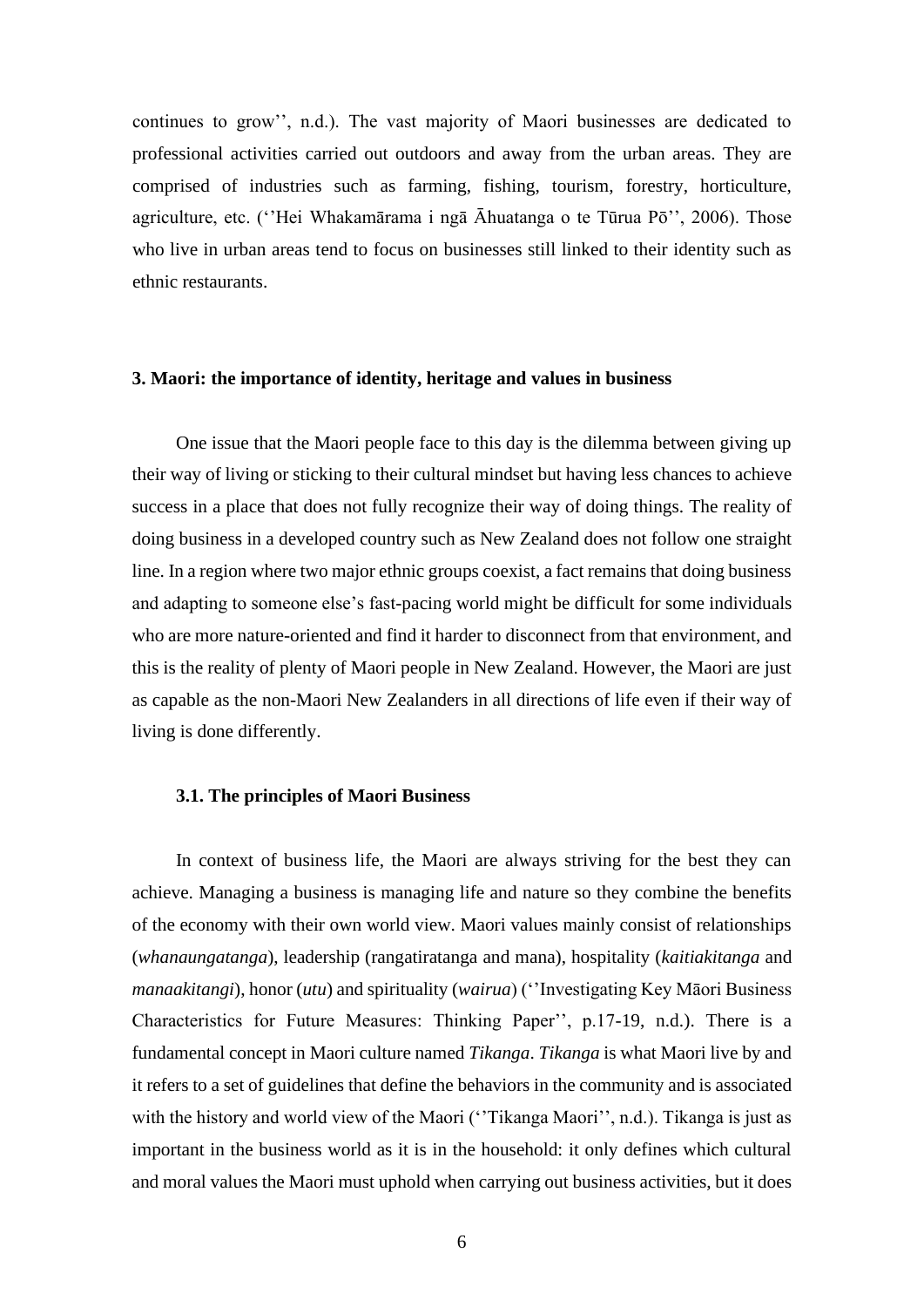continues to grow'', n.d.). The vast majority of Maori businesses are dedicated to professional activities carried out outdoors and away from the urban areas. They are comprised of industries such as farming, fishing, tourism, forestry, horticulture, agriculture, etc. (''Hei Whakamārama i ngā Āhuatanga o te Tūrua Pō'', 2006). Those who live in urban areas tend to focus on businesses still linked to their identity such as ethnic restaurants.

#### **3. Maori: the importance of identity, heritage and values in business**

One issue that the Maori people face to this day is the dilemma between giving up their way of living or sticking to their cultural mindset but having less chances to achieve success in a place that does not fully recognize their way of doing things. The reality of doing business in a developed country such as New Zealand does not follow one straight line. In a region where two major ethnic groups coexist, a fact remains that doing business and adapting to someone else's fast-pacing world might be difficult for some individuals who are more nature-oriented and find it harder to disconnect from that environment, and this is the reality of plenty of Maori people in New Zealand. However, the Maori are just as capable as the non-Maori New Zealanders in all directions of life even if their way of living is done differently.

#### **3.1. The principles of Maori Business**

In context of business life, the Maori are always striving for the best they can achieve. Managing a business is managing life and nature so they combine the benefits of the economy with their own world view. Maori values mainly consist of relationships (*whanaungatanga*), leadership (rangatiratanga and mana), hospitality (*kaitiakitanga* and *manaakitangi*), honor (*utu*) and spirituality (*wairua*) (''Investigating Key Māori Business Characteristics for Future Measures: Thinking Paper'', p.17-19, n.d.). There is a fundamental concept in Maori culture named *Tikanga*. *Tikanga* is what Maori live by and it refers to a set of guidelines that define the behaviors in the community and is associated with the history and world view of the Maori ('Tikanga Maori'', n.d.). Tikanga is just as important in the business world as it is in the household: it only defines which cultural and moral values the Maori must uphold when carrying out business activities, but it does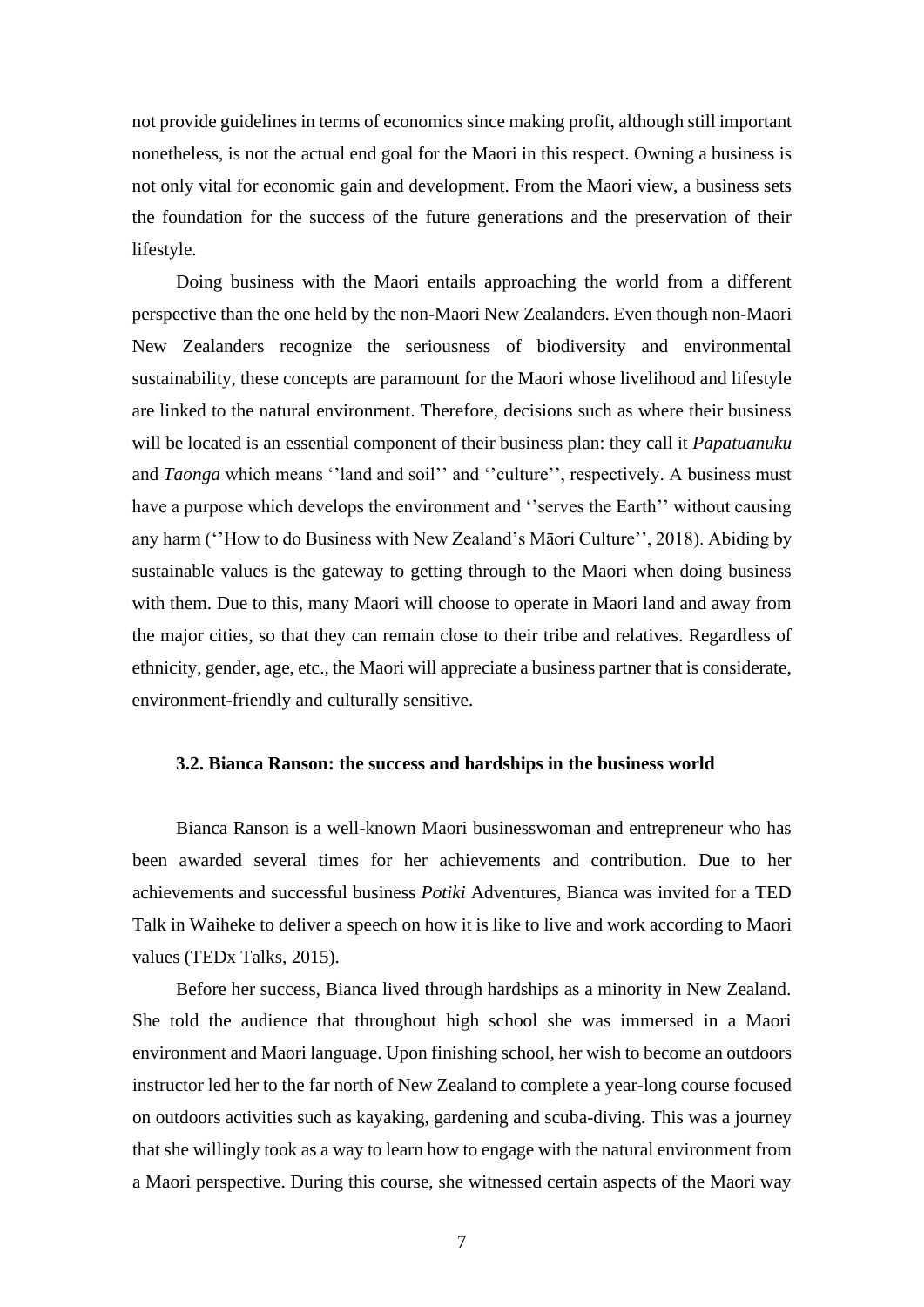not provide guidelines in terms of economics since making profit, although still important nonetheless, is not the actual end goal for the Maori in this respect. Owning a business is not only vital for economic gain and development. From the Maori view, a business sets the foundation for the success of the future generations and the preservation of their lifestyle.

Doing business with the Maori entails approaching the world from a different perspective than the one held by the non-Maori New Zealanders. Even though non-Maori New Zealanders recognize the seriousness of biodiversity and environmental sustainability, these concepts are paramount for the Maori whose livelihood and lifestyle are linked to the natural environment. Therefore, decisions such as where their business will be located is an essential component of their business plan: they call it *Papatuanuku* and *Taonga* which means "land and soil" and "culture", respectively. A business must have a purpose which develops the environment and "serves the Earth" without causing any harm (''How to do Business with New Zealand's Māori Culture'', 2018). Abiding by sustainable values is the gateway to getting through to the Maori when doing business with them. Due to this, many Maori will choose to operate in Maori land and away from the major cities, so that they can remain close to their tribe and relatives. Regardless of ethnicity, gender, age, etc., the Maori will appreciate a business partner that is considerate, environment-friendly and culturally sensitive.

#### **3.2. Bianca Ranson: the success and hardships in the business world**

Bianca Ranson is a well-known Maori businesswoman and entrepreneur who has been awarded several times for her achievements and contribution. Due to her achievements and successful business *Potiki* Adventures, Bianca was invited for a TED Talk in Waiheke to deliver a speech on how it is like to live and work according to Maori values (TEDx Talks, 2015).

Before her success, Bianca lived through hardships as a minority in New Zealand. She told the audience that throughout high school she was immersed in a Maori environment and Maori language. Upon finishing school, her wish to become an outdoors instructor led her to the far north of New Zealand to complete a year-long course focused on outdoors activities such as kayaking, gardening and scuba-diving. This was a journey that she willingly took as a way to learn how to engage with the natural environment from a Maori perspective. During this course, she witnessed certain aspects of the Maori way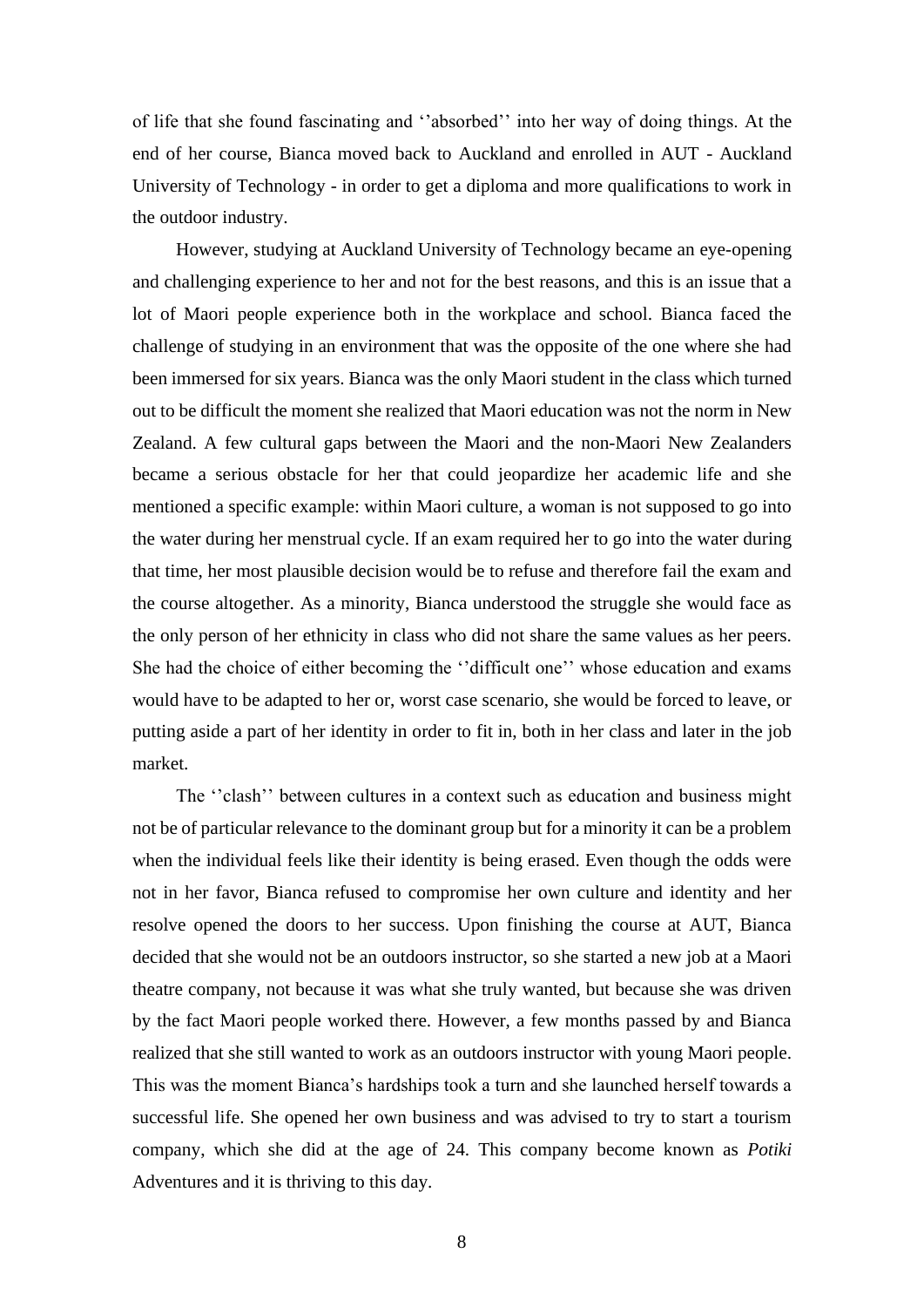of life that she found fascinating and ''absorbed'' into her way of doing things. At the end of her course, Bianca moved back to Auckland and enrolled in AUT - Auckland University of Technology - in order to get a diploma and more qualifications to work in the outdoor industry.

However, studying at Auckland University of Technology became an eye-opening and challenging experience to her and not for the best reasons, and this is an issue that a lot of Maori people experience both in the workplace and school. Bianca faced the challenge of studying in an environment that was the opposite of the one where she had been immersed for six years. Bianca was the only Maori student in the class which turned out to be difficult the moment she realized that Maori education was not the norm in New Zealand. A few cultural gaps between the Maori and the non-Maori New Zealanders became a serious obstacle for her that could jeopardize her academic life and she mentioned a specific example: within Maori culture, a woman is not supposed to go into the water during her menstrual cycle. If an exam required her to go into the water during that time, her most plausible decision would be to refuse and therefore fail the exam and the course altogether. As a minority, Bianca understood the struggle she would face as the only person of her ethnicity in class who did not share the same values as her peers. She had the choice of either becoming the ''difficult one'' whose education and exams would have to be adapted to her or, worst case scenario, she would be forced to leave, or putting aside a part of her identity in order to fit in, both in her class and later in the job market.

The ''clash'' between cultures in a context such as education and business might not be of particular relevance to the dominant group but for a minority it can be a problem when the individual feels like their identity is being erased. Even though the odds were not in her favor, Bianca refused to compromise her own culture and identity and her resolve opened the doors to her success. Upon finishing the course at AUT, Bianca decided that she would not be an outdoors instructor, so she started a new job at a Maori theatre company, not because it was what she truly wanted, but because she was driven by the fact Maori people worked there. However, a few months passed by and Bianca realized that she still wanted to work as an outdoors instructor with young Maori people. This was the moment Bianca's hardships took a turn and she launched herself towards a successful life. She opened her own business and was advised to try to start a tourism company, which she did at the age of 24. This company become known as *Potiki*  Adventures and it is thriving to this day.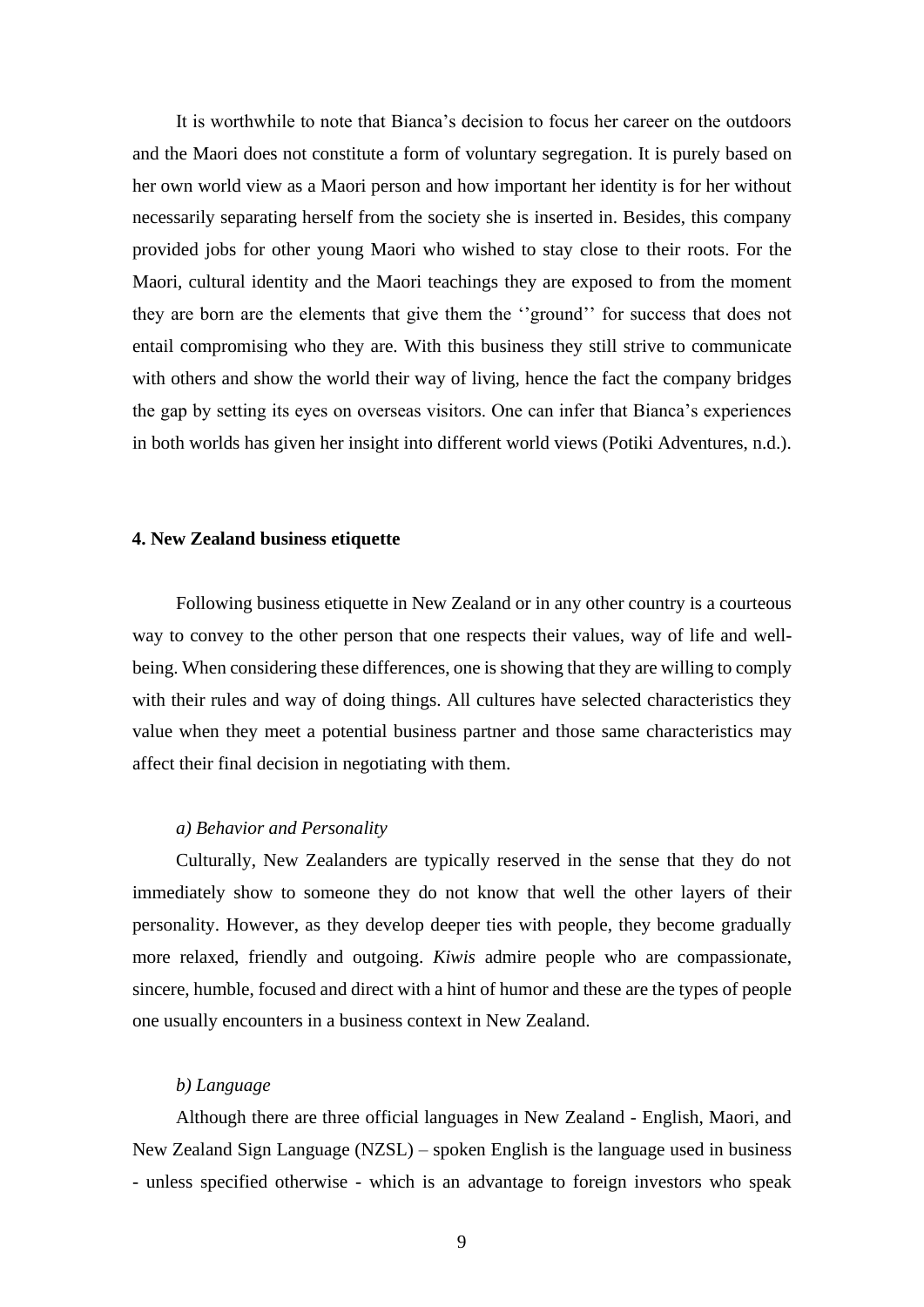It is worthwhile to note that Bianca's decision to focus her career on the outdoors and the Maori does not constitute a form of voluntary segregation. It is purely based on her own world view as a Maori person and how important her identity is for her without necessarily separating herself from the society she is inserted in. Besides, this company provided jobs for other young Maori who wished to stay close to their roots. For the Maori, cultural identity and the Maori teachings they are exposed to from the moment they are born are the elements that give them the ''ground'' for success that does not entail compromising who they are. With this business they still strive to communicate with others and show the world their way of living, hence the fact the company bridges the gap by setting its eyes on overseas visitors. One can infer that Bianca's experiences in both worlds has given her insight into different world views (Potiki Adventures, n.d.).

#### **4. New Zealand business etiquette**

Following business etiquette in New Zealand or in any other country is a courteous way to convey to the other person that one respects their values, way of life and wellbeing. When considering these differences, one is showing that they are willing to comply with their rules and way of doing things. All cultures have selected characteristics they value when they meet a potential business partner and those same characteristics may affect their final decision in negotiating with them.

#### *a) Behavior and Personality*

Culturally, New Zealanders are typically reserved in the sense that they do not immediately show to someone they do not know that well the other layers of their personality. However, as they develop deeper ties with people, they become gradually more relaxed, friendly and outgoing. *Kiwis* admire people who are compassionate, sincere, humble, focused and direct with a hint of humor and these are the types of people one usually encounters in a business context in New Zealand.

#### *b) Language*

Although there are three official languages in New Zealand - English, Maori, and New Zealand Sign Language (NZSL) – spoken English is the language used in business - unless specified otherwise - which is an advantage to foreign investors who speak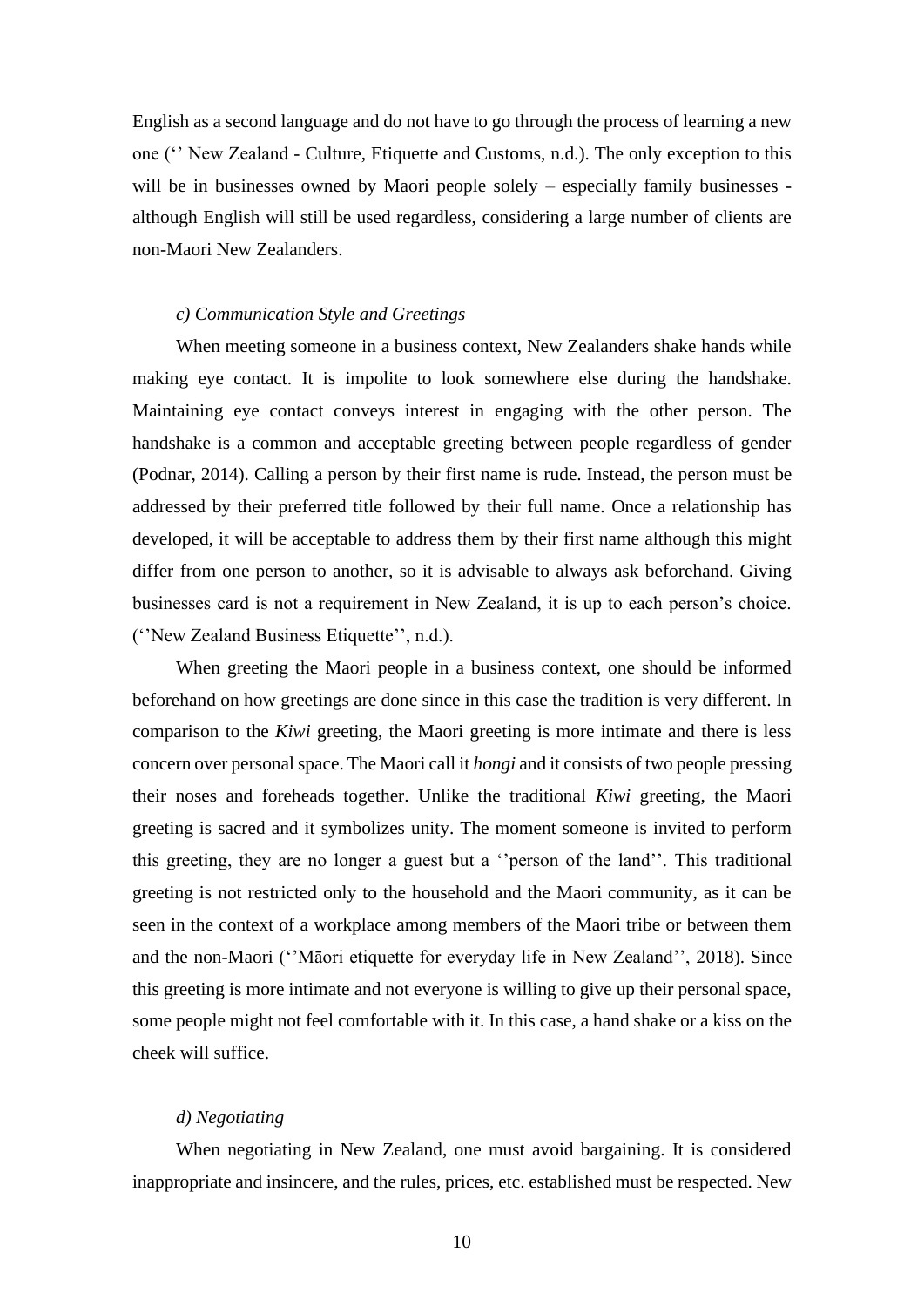English as a second language and do not have to go through the process of learning a new one ('' New Zealand - Culture, Etiquette and Customs, n.d.). The only exception to this will be in businesses owned by Maori people solely – especially family businesses although English will still be used regardless, considering a large number of clients are non-Maori New Zealanders.

#### *c) Communication Style and Greetings*

When meeting someone in a business context, New Zealanders shake hands while making eye contact. It is impolite to look somewhere else during the handshake. Maintaining eye contact conveys interest in engaging with the other person. The handshake is a common and acceptable greeting between people regardless of gender (Podnar, 2014). Calling a person by their first name is rude. Instead, the person must be addressed by their preferred title followed by their full name. Once a relationship has developed, it will be acceptable to address them by their first name although this might differ from one person to another, so it is advisable to always ask beforehand. Giving businesses card is not a requirement in New Zealand, it is up to each person's choice. (''New Zealand Business Etiquette'', n.d.).

When greeting the Maori people in a business context, one should be informed beforehand on how greetings are done since in this case the tradition is very different. In comparison to the *Kiwi* greeting, the Maori greeting is more intimate and there is less concern over personal space. The Maori call it *hongi* and it consists of two people pressing their noses and foreheads together. Unlike the traditional *Kiwi* greeting, the Maori greeting is sacred and it symbolizes unity. The moment someone is invited to perform this greeting, they are no longer a guest but a ''person of the land''. This traditional greeting is not restricted only to the household and the Maori community, as it can be seen in the context of a workplace among members of the Maori tribe or between them and the non-Maori (''Māori etiquette for everyday life in New Zealand'', 2018). Since this greeting is more intimate and not everyone is willing to give up their personal space, some people might not feel comfortable with it. In this case, a hand shake or a kiss on the cheek will suffice.

#### *d) Negotiating*

When negotiating in New Zealand, one must avoid bargaining. It is considered inappropriate and insincere, and the rules, prices, etc. established must be respected. New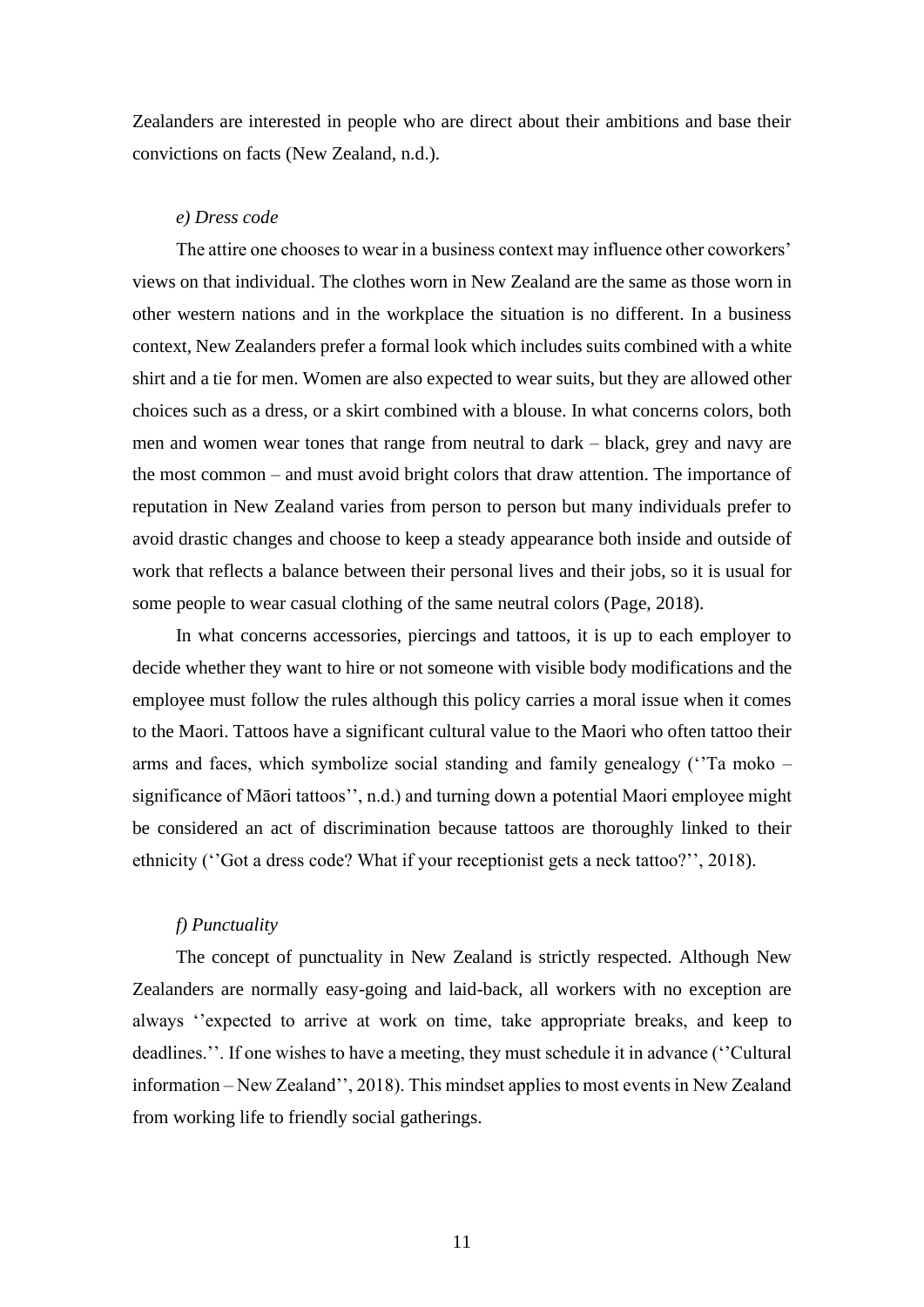Zealanders are interested in people who are direct about their ambitions and base their convictions on facts (New Zealand, n.d.).

#### *e) Dress code*

The attire one chooses to wear in a business context may influence other coworkers' views on that individual. The clothes worn in New Zealand are the same as those worn in other western nations and in the workplace the situation is no different. In a business context, New Zealanders prefer a formal look which includes suits combined with a white shirt and a tie for men. Women are also expected to wear suits, but they are allowed other choices such as a dress, or a skirt combined with a blouse. In what concerns colors, both men and women wear tones that range from neutral to dark – black, grey and navy are the most common – and must avoid bright colors that draw attention. The importance of reputation in New Zealand varies from person to person but many individuals prefer to avoid drastic changes and choose to keep a steady appearance both inside and outside of work that reflects a balance between their personal lives and their jobs, so it is usual for some people to wear casual clothing of the same neutral colors (Page, 2018).

In what concerns accessories, piercings and tattoos, it is up to each employer to decide whether they want to hire or not someone with visible body modifications and the employee must follow the rules although this policy carries a moral issue when it comes to the Maori. Tattoos have a significant cultural value to the Maori who often tattoo their arms and faces, which symbolize social standing and family genealogy (''Ta moko – significance of Māori tattoos'', n.d.) and turning down a potential Maori employee might be considered an act of discrimination because tattoos are thoroughly linked to their ethnicity (''Got a dress code? What if your receptionist gets a neck tattoo?'', 2018).

## *f) Punctuality*

The concept of punctuality in New Zealand is strictly respected. Although New Zealanders are normally easy-going and laid-back, all workers with no exception are always ''expected to arrive at work on time, take appropriate breaks, and keep to deadlines.''. If one wishes to have a meeting, they must schedule it in advance (''Cultural information – New Zealand'', 2018). This mindset applies to most events in New Zealand from working life to friendly social gatherings.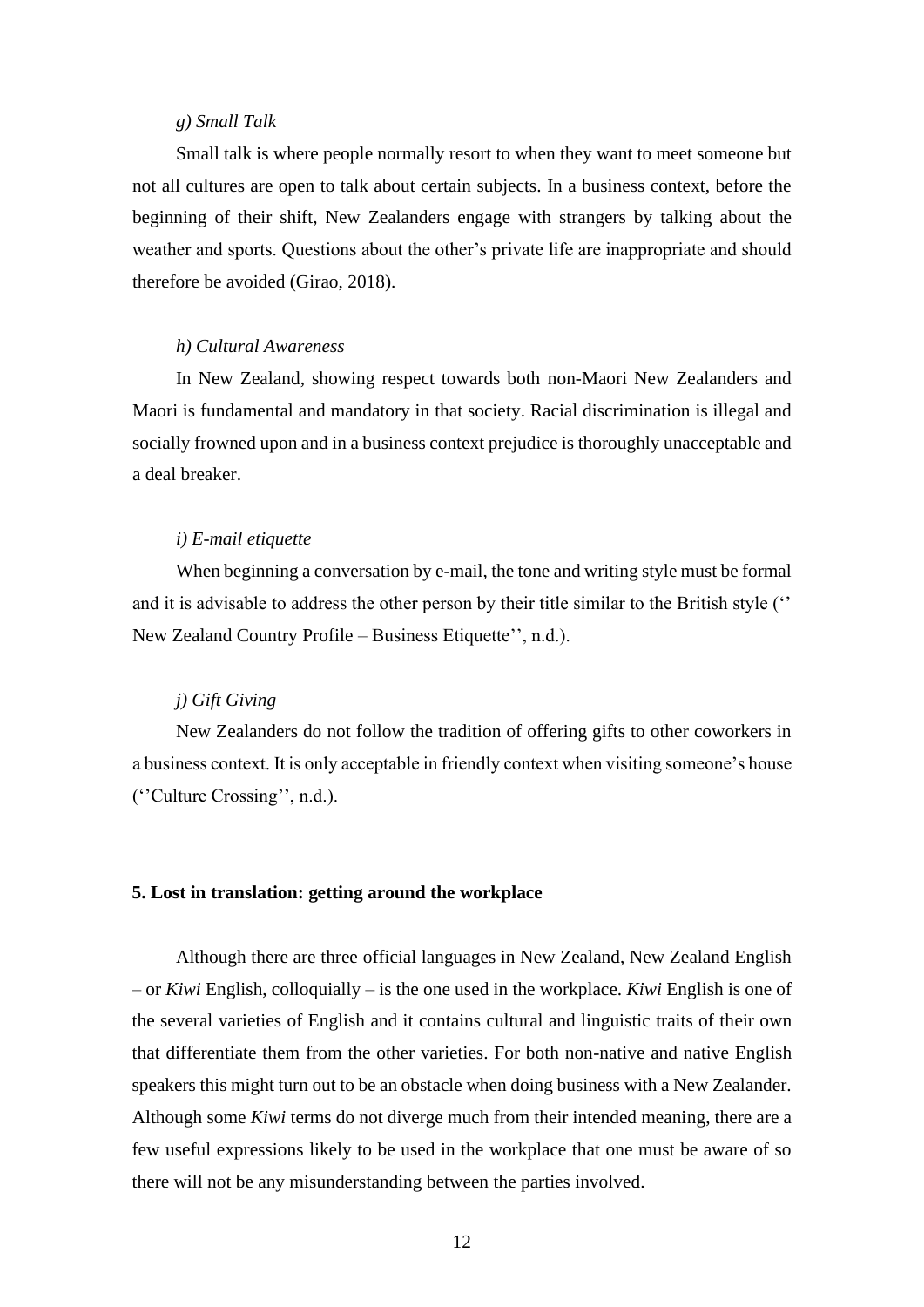#### *g) Small Talk*

Small talk is where people normally resort to when they want to meet someone but not all cultures are open to talk about certain subjects. In a business context, before the beginning of their shift, New Zealanders engage with strangers by talking about the weather and sports. Questions about the other's private life are inappropriate and should therefore be avoided (Girao, 2018).

#### *h) Cultural Awareness*

In New Zealand, showing respect towards both non-Maori New Zealanders and Maori is fundamental and mandatory in that society. Racial discrimination is illegal and socially frowned upon and in a business context prejudice is thoroughly unacceptable and a deal breaker.

#### *i) E-mail etiquette*

When beginning a conversation by e-mail, the tone and writing style must be formal and it is advisable to address the other person by their title similar to the British style ('' New Zealand Country Profile – Business Etiquette'', n.d.).

#### *j) Gift Giving*

New Zealanders do not follow the tradition of offering gifts to other coworkers in a business context. It is only acceptable in friendly context when visiting someone's house (''Culture Crossing'', n.d.).

#### **5. Lost in translation: getting around the workplace**

Although there are three official languages in New Zealand, New Zealand English – or *Kiwi* English, colloquially – is the one used in the workplace. *Kiwi* English is one of the several varieties of English and it contains cultural and linguistic traits of their own that differentiate them from the other varieties. For both non-native and native English speakers this might turn out to be an obstacle when doing business with a New Zealander. Although some *Kiwi* terms do not diverge much from their intended meaning, there are a few useful expressions likely to be used in the workplace that one must be aware of so there will not be any misunderstanding between the parties involved.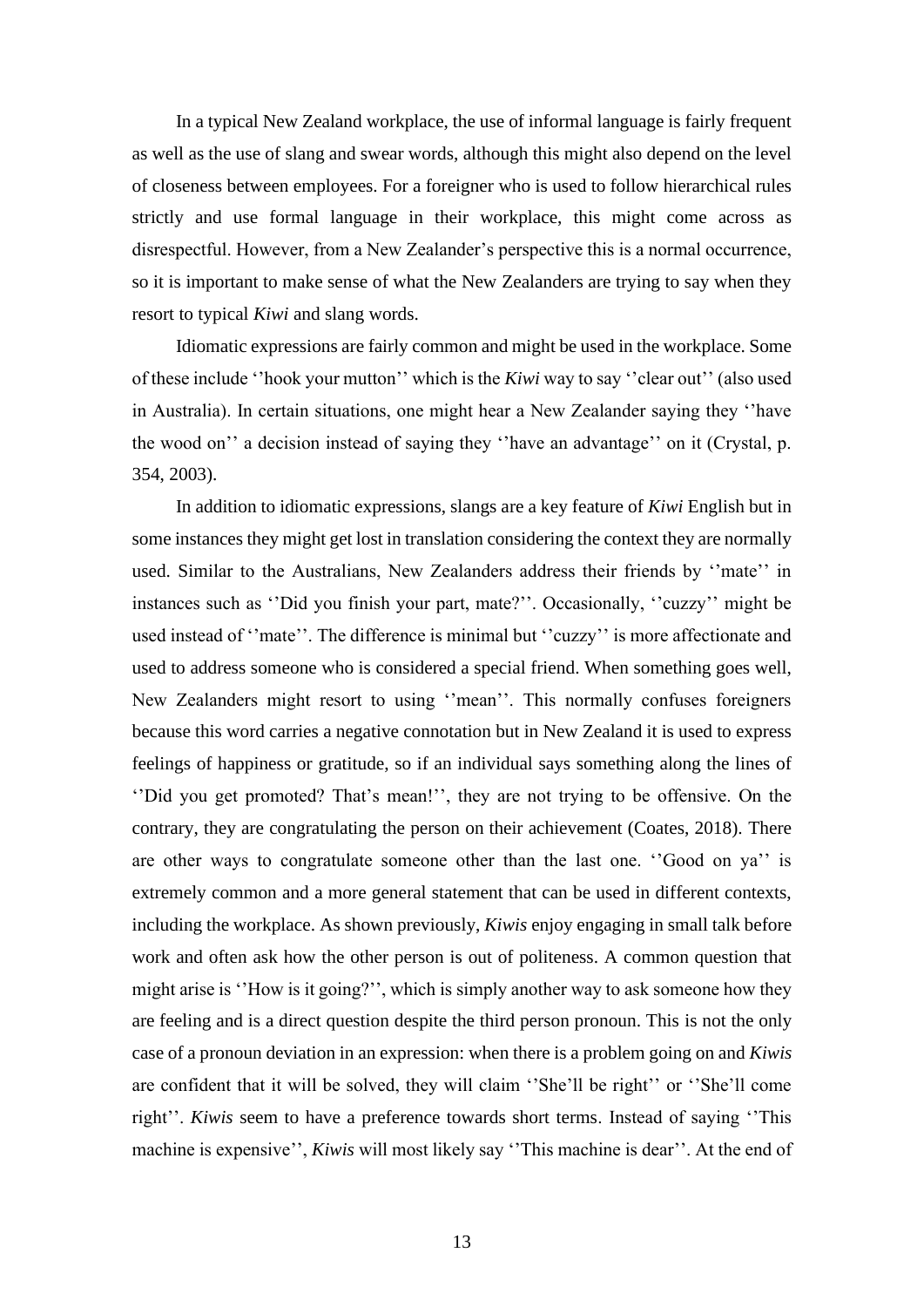In a typical New Zealand workplace, the use of informal language is fairly frequent as well as the use of slang and swear words, although this might also depend on the level of closeness between employees. For a foreigner who is used to follow hierarchical rules strictly and use formal language in their workplace, this might come across as disrespectful. However, from a New Zealander's perspective this is a normal occurrence, so it is important to make sense of what the New Zealanders are trying to say when they resort to typical *Kiwi* and slang words.

Idiomatic expressions are fairly common and might be used in the workplace. Some of these include ''hook your mutton'' which is the *Kiwi* way to say ''clear out'' (also used in Australia). In certain situations, one might hear a New Zealander saying they ''have the wood on'' a decision instead of saying they ''have an advantage'' on it (Crystal, p. 354, 2003).

In addition to idiomatic expressions, slangs are a key feature of *Kiwi* English but in some instances they might get lost in translation considering the context they are normally used. Similar to the Australians, New Zealanders address their friends by ''mate'' in instances such as ''Did you finish your part, mate?''. Occasionally, ''cuzzy'' might be used instead of ''mate''. The difference is minimal but ''cuzzy'' is more affectionate and used to address someone who is considered a special friend. When something goes well, New Zealanders might resort to using ''mean''. This normally confuses foreigners because this word carries a negative connotation but in New Zealand it is used to express feelings of happiness or gratitude, so if an individual says something along the lines of ''Did you get promoted? That's mean!'', they are not trying to be offensive. On the contrary, they are congratulating the person on their achievement (Coates, 2018). There are other ways to congratulate someone other than the last one. ''Good on ya'' is extremely common and a more general statement that can be used in different contexts, including the workplace. As shown previously, *Kiwis* enjoy engaging in small talk before work and often ask how the other person is out of politeness. A common question that might arise is ''How is it going?'', which is simply another way to ask someone how they are feeling and is a direct question despite the third person pronoun. This is not the only case of a pronoun deviation in an expression: when there is a problem going on and *Kiwis* are confident that it will be solved, they will claim ''She'll be right'' or ''She'll come right''. *Kiwis* seem to have a preference towards short terms. Instead of saying ''This machine is expensive'', *Kiwis* will most likely say ''This machine is dear''. At the end of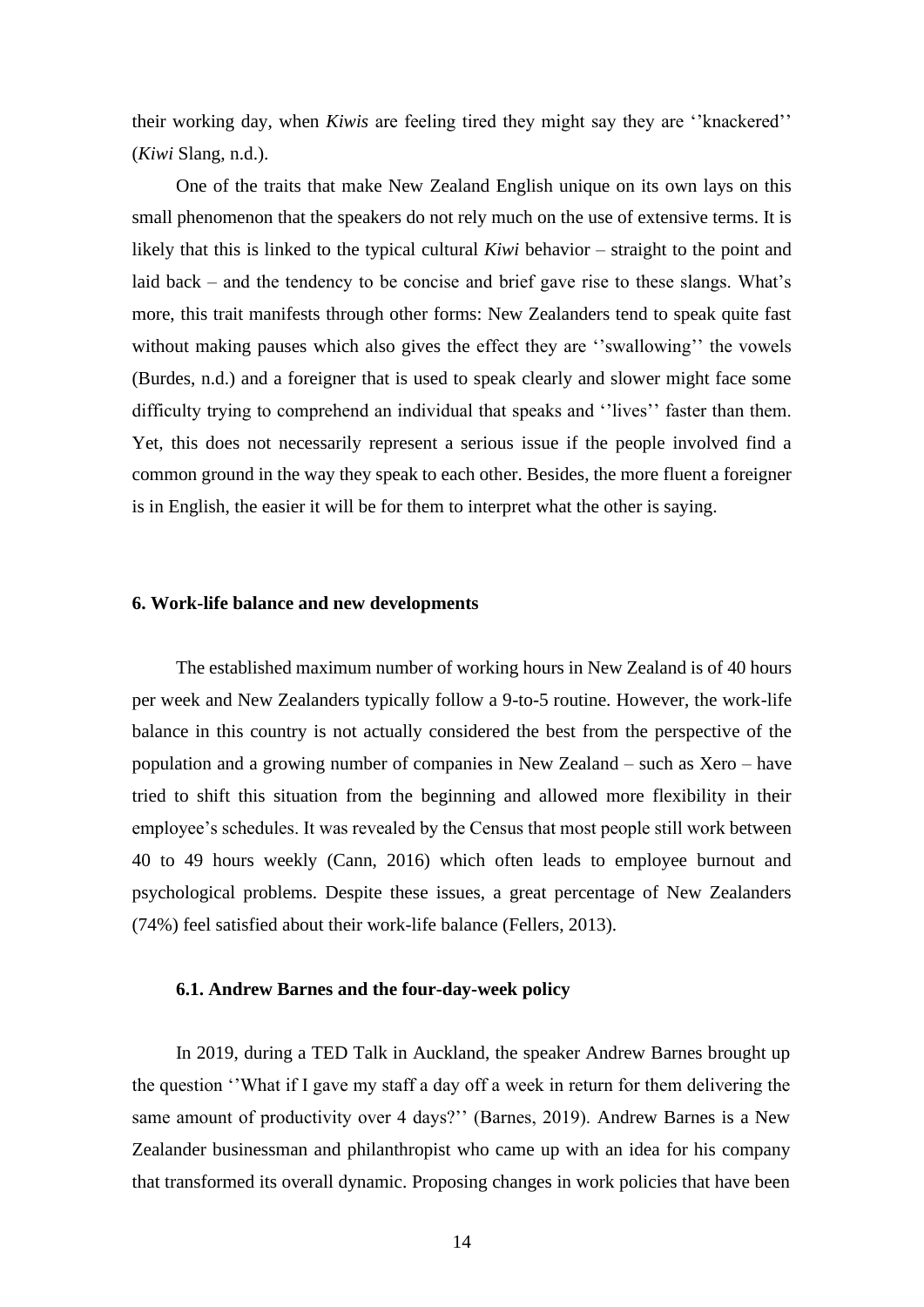their working day, when *Kiwis* are feeling tired they might say they are ''knackered'' (*Kiwi* Slang, n.d.).

One of the traits that make New Zealand English unique on its own lays on this small phenomenon that the speakers do not rely much on the use of extensive terms. It is likely that this is linked to the typical cultural *Kiwi* behavior – straight to the point and laid back – and the tendency to be concise and brief gave rise to these slangs. What's more, this trait manifests through other forms: New Zealanders tend to speak quite fast without making pauses which also gives the effect they are "swallowing" the vowels (Burdes, n.d.) and a foreigner that is used to speak clearly and slower might face some difficulty trying to comprehend an individual that speaks and ''lives'' faster than them. Yet, this does not necessarily represent a serious issue if the people involved find a common ground in the way they speak to each other. Besides, the more fluent a foreigner is in English, the easier it will be for them to interpret what the other is saying.

## **6. Work-life balance and new developments**

The established maximum number of working hours in New Zealand is of 40 hours per week and New Zealanders typically follow a 9-to-5 routine. However, the work-life balance in this country is not actually considered the best from the perspective of the population and a growing number of companies in New Zealand – such as Xero – have tried to shift this situation from the beginning and allowed more flexibility in their employee's schedules. It was revealed by the Census that most people still work between 40 to 49 hours weekly (Cann, 2016) which often leads to employee burnout and psychological problems. Despite these issues, a great percentage of New Zealanders (74%) feel satisfied about their work-life balance (Fellers, 2013).

#### **6.1. Andrew Barnes and the four-day-week policy**

In 2019, during a TED Talk in Auckland, the speaker Andrew Barnes brought up the question ''What if I gave my staff a day off a week in return for them delivering the same amount of productivity over 4 days?'' (Barnes, 2019). Andrew Barnes is a New Zealander businessman and philanthropist who came up with an idea for his company that transformed its overall dynamic. Proposing changes in work policies that have been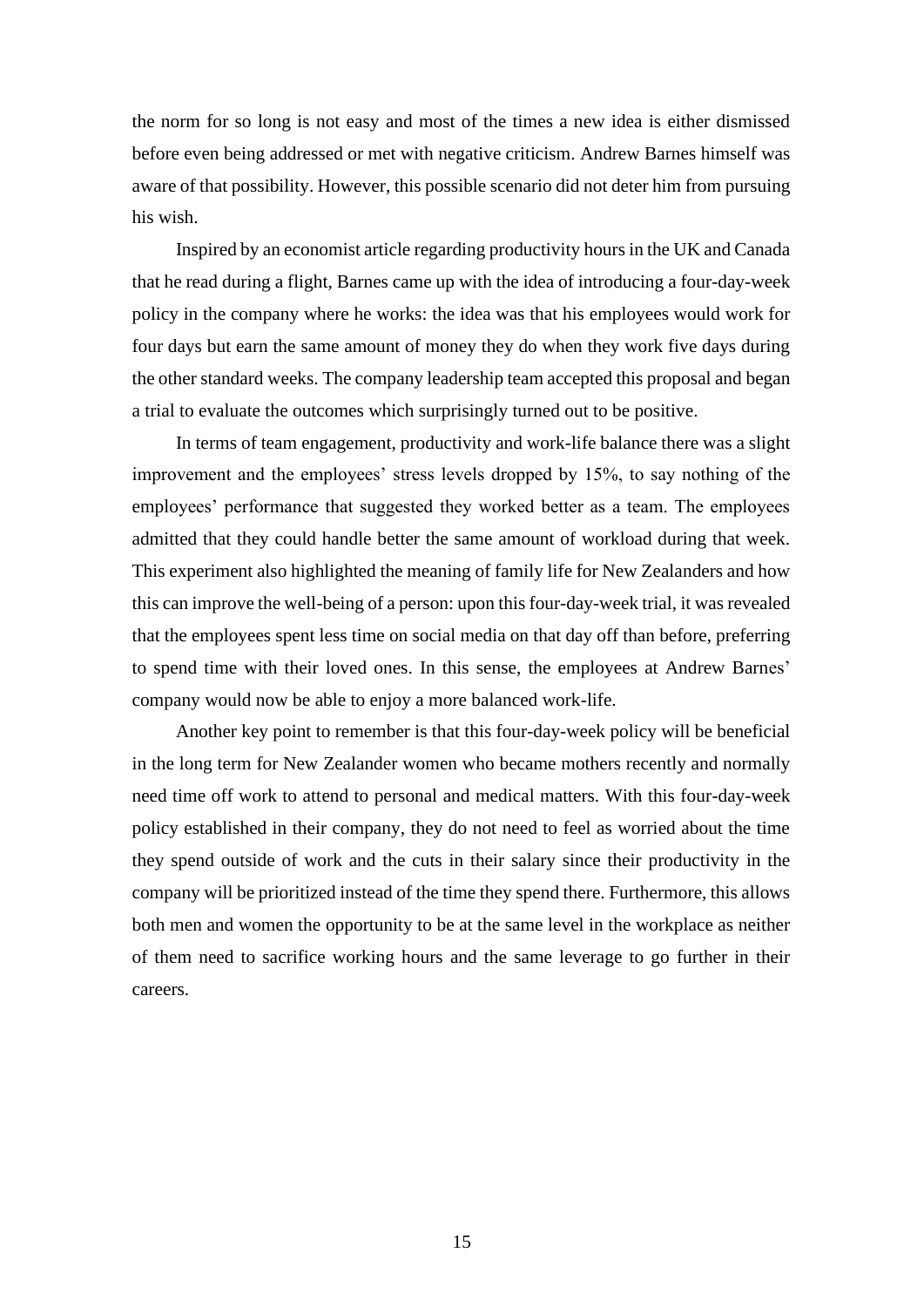the norm for so long is not easy and most of the times a new idea is either dismissed before even being addressed or met with negative criticism. Andrew Barnes himself was aware of that possibility. However, this possible scenario did not deter him from pursuing his wish.

Inspired by an economist article regarding productivity hours in the UK and Canada that he read during a flight, Barnes came up with the idea of introducing a four-day-week policy in the company where he works: the idea was that his employees would work for four days but earn the same amount of money they do when they work five days during the other standard weeks. The company leadership team accepted this proposal and began a trial to evaluate the outcomes which surprisingly turned out to be positive.

In terms of team engagement, productivity and work-life balance there was a slight improvement and the employees' stress levels dropped by 15%, to say nothing of the employees' performance that suggested they worked better as a team. The employees admitted that they could handle better the same amount of workload during that week. This experiment also highlighted the meaning of family life for New Zealanders and how this can improve the well-being of a person: upon this four-day-week trial, it was revealed that the employees spent less time on social media on that day off than before, preferring to spend time with their loved ones. In this sense, the employees at Andrew Barnes' company would now be able to enjoy a more balanced work-life.

Another key point to remember is that this four-day-week policy will be beneficial in the long term for New Zealander women who became mothers recently and normally need time off work to attend to personal and medical matters. With this four-day-week policy established in their company, they do not need to feel as worried about the time they spend outside of work and the cuts in their salary since their productivity in the company will be prioritized instead of the time they spend there. Furthermore, this allows both men and women the opportunity to be at the same level in the workplace as neither of them need to sacrifice working hours and the same leverage to go further in their careers.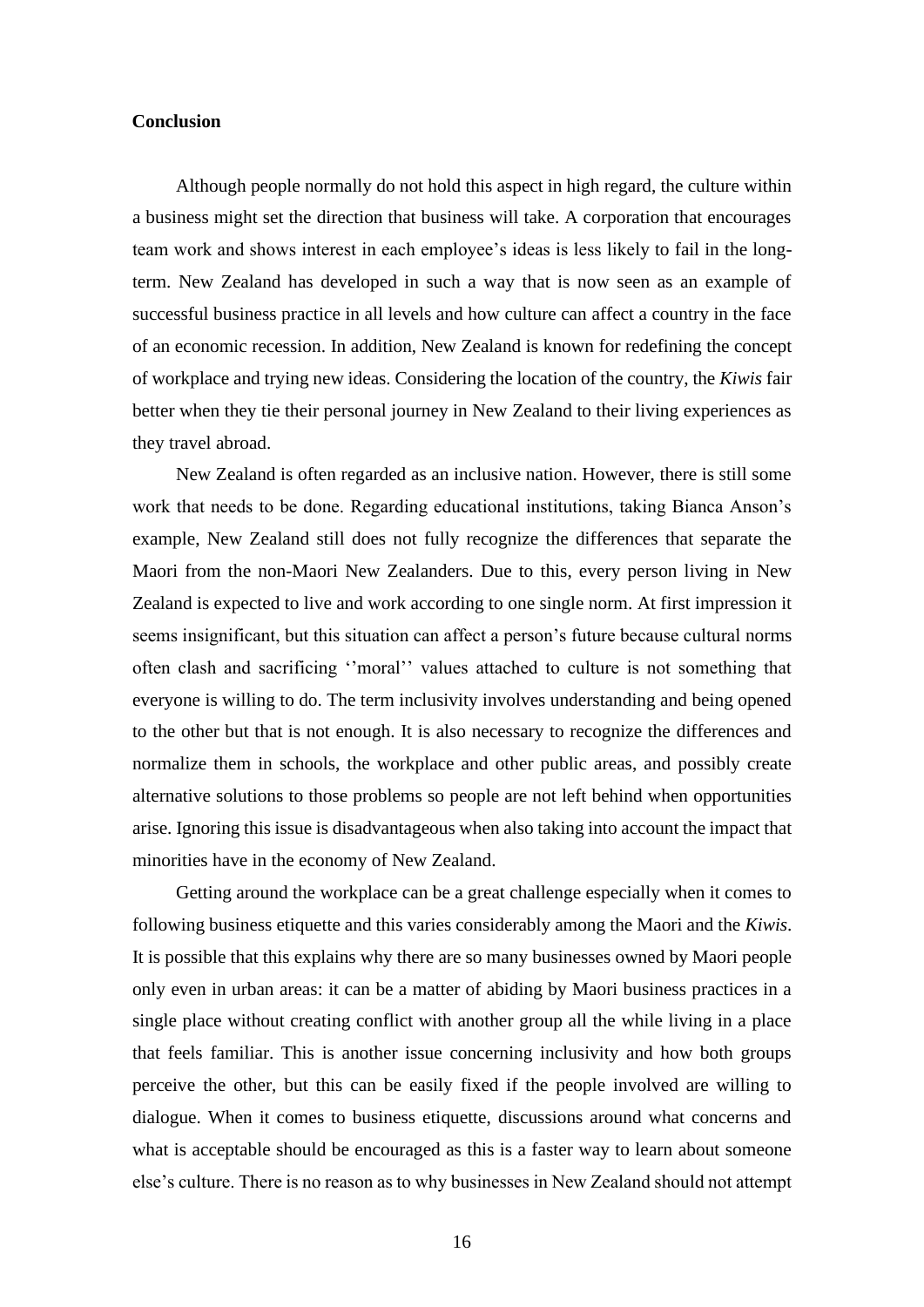#### **Conclusion**

Although people normally do not hold this aspect in high regard, the culture within a business might set the direction that business will take. A corporation that encourages team work and shows interest in each employee's ideas is less likely to fail in the longterm. New Zealand has developed in such a way that is now seen as an example of successful business practice in all levels and how culture can affect a country in the face of an economic recession. In addition, New Zealand is known for redefining the concept of workplace and trying new ideas. Considering the location of the country, the *Kiwis* fair better when they tie their personal journey in New Zealand to their living experiences as they travel abroad.

New Zealand is often regarded as an inclusive nation. However, there is still some work that needs to be done. Regarding educational institutions, taking Bianca Anson's example, New Zealand still does not fully recognize the differences that separate the Maori from the non-Maori New Zealanders. Due to this, every person living in New Zealand is expected to live and work according to one single norm. At first impression it seems insignificant, but this situation can affect a person's future because cultural norms often clash and sacrificing ''moral'' values attached to culture is not something that everyone is willing to do. The term inclusivity involves understanding and being opened to the other but that is not enough. It is also necessary to recognize the differences and normalize them in schools, the workplace and other public areas, and possibly create alternative solutions to those problems so people are not left behind when opportunities arise. Ignoring this issue is disadvantageous when also taking into account the impact that minorities have in the economy of New Zealand.

Getting around the workplace can be a great challenge especially when it comes to following business etiquette and this varies considerably among the Maori and the *Kiwis*. It is possible that this explains why there are so many businesses owned by Maori people only even in urban areas: it can be a matter of abiding by Maori business practices in a single place without creating conflict with another group all the while living in a place that feels familiar. This is another issue concerning inclusivity and how both groups perceive the other, but this can be easily fixed if the people involved are willing to dialogue. When it comes to business etiquette, discussions around what concerns and what is acceptable should be encouraged as this is a faster way to learn about someone else's culture. There is no reason as to why businesses in New Zealand should not attempt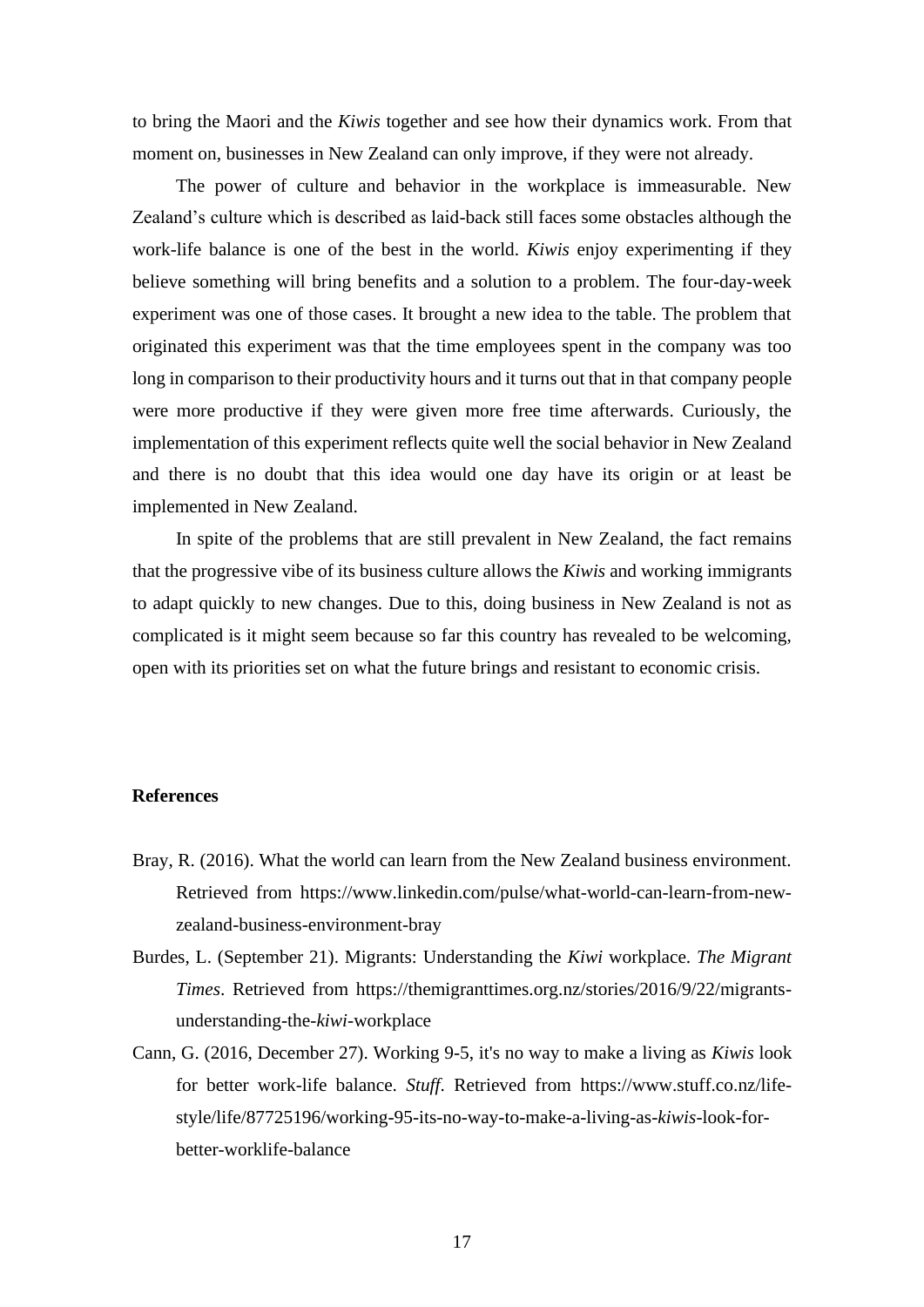to bring the Maori and the *Kiwis* together and see how their dynamics work. From that moment on, businesses in New Zealand can only improve, if they were not already.

The power of culture and behavior in the workplace is immeasurable. New Zealand's culture which is described as laid-back still faces some obstacles although the work-life balance is one of the best in the world. *Kiwis* enjoy experimenting if they believe something will bring benefits and a solution to a problem. The four-day-week experiment was one of those cases. It brought a new idea to the table. The problem that originated this experiment was that the time employees spent in the company was too long in comparison to their productivity hours and it turns out that in that company people were more productive if they were given more free time afterwards. Curiously, the implementation of this experiment reflects quite well the social behavior in New Zealand and there is no doubt that this idea would one day have its origin or at least be implemented in New Zealand.

In spite of the problems that are still prevalent in New Zealand, the fact remains that the progressive vibe of its business culture allows the *Kiwis* and working immigrants to adapt quickly to new changes. Due to this, doing business in New Zealand is not as complicated is it might seem because so far this country has revealed to be welcoming, open with its priorities set on what the future brings and resistant to economic crisis.

#### **References**

- Bray, R. (2016). What the world can learn from the New Zealand business environment. Retrieved from [https://www.linkedin.com/pulse/what-world-can-learn-from-new](https://www.linkedin.com/pulse/what-world-can-learn-from-new-zealand-business-environment-bray)[zealand-business-environment-bray](https://www.linkedin.com/pulse/what-world-can-learn-from-new-zealand-business-environment-bray)
- Burdes, L. (September 21). Migrants: Understanding the *Kiwi* workplace. *The Migrant Times*. Retrieved from https://themigranttimes.org.nz/stories/2016/9/22/migrantsunderstanding-the-*kiwi*-workplace
- Cann, G. (2016, December 27). Working 9-5, it's no way to make a living as *Kiwis* look for better work-life balance. *Stuff*. Retrieved from [https://www.stuff.co.nz/life](https://www.stuff.co.nz/life-style/life/87725196/working-95-its-no-way-to-make-a-living-as-kiwis-look-for-better-worklife-balance)[style/life/87725196/working-95-its-no-way-to-make-a-living-as-](https://www.stuff.co.nz/life-style/life/87725196/working-95-its-no-way-to-make-a-living-as-kiwis-look-for-better-worklife-balance)*kiwis*-look-for[better-worklife-balance](https://www.stuff.co.nz/life-style/life/87725196/working-95-its-no-way-to-make-a-living-as-kiwis-look-for-better-worklife-balance)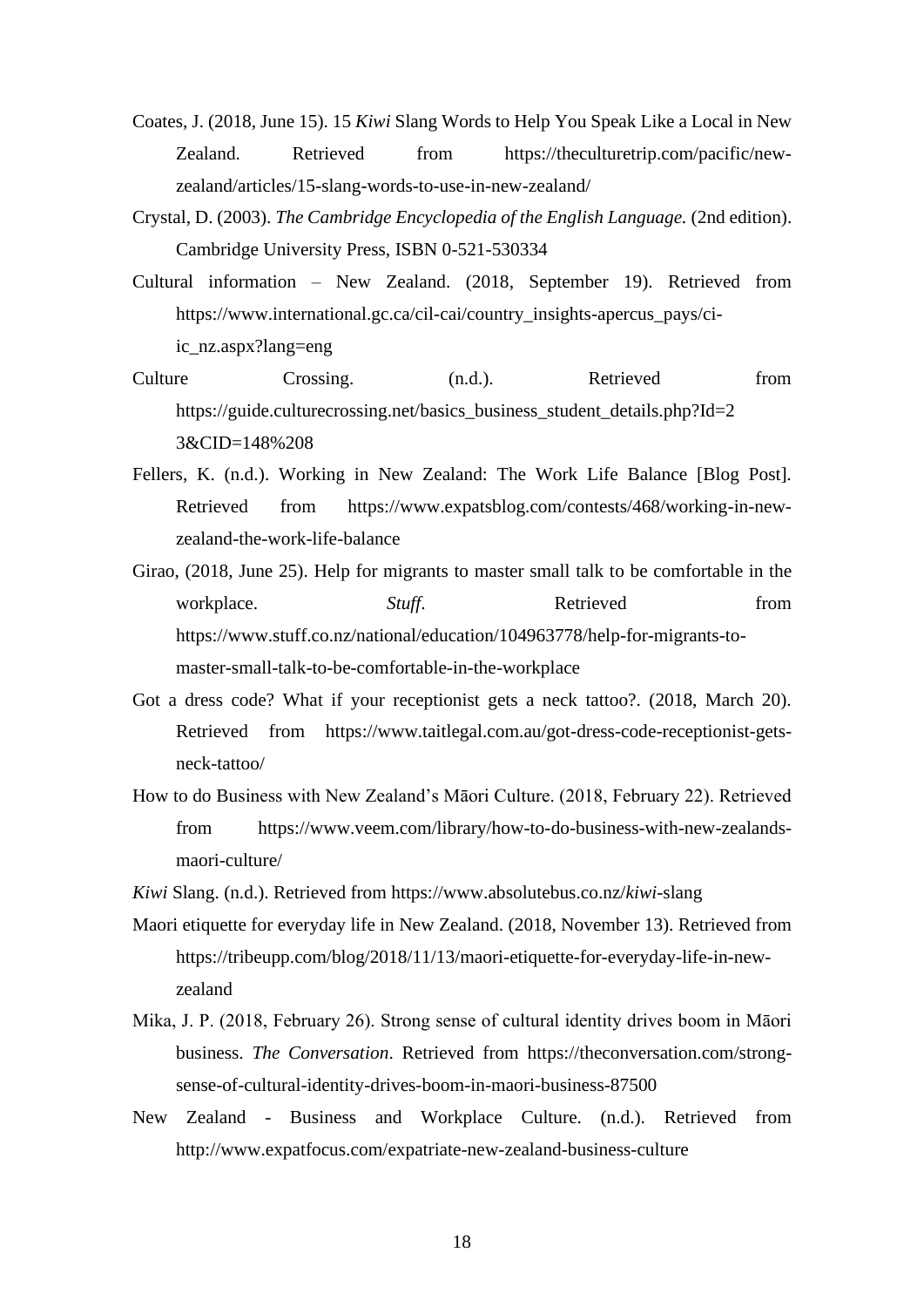- Coates, J. (2018, June 15). 15 *Kiwi* Slang Words to Help You Speak Like a Local in New Zealand. Retrieved from https://theculturetrip.com/pacific/newzealand/articles/15-slang-words-to-use-in-new-zealand/
- Crystal, D. (2003). *The Cambridge Encyclopedia of the English Language.* (2nd edition). Cambridge University Press, ISBN 0-521-530334
- Cultural information New Zealand. (2018, September 19). Retrieved from https://www.international.gc.ca/cil-cai/country\_insights-apercus\_pays/ciic\_nz.aspx?lang=eng
- Culture Crossing. (n.d.). Retrieved from https://guide.culturecrossing.net/basics\_business\_student\_details.php?Id=2 3&CID=148%208
- Fellers, K. (n.d.). Working in New Zealand: The Work Life Balance [Blog Post]. Retrieved from https://www.expatsblog.com/contests/468/working-in-newzealand-the-work-life-balance
- Girao, (2018, June 25). Help for migrants to master small talk to be comfortable in the workplace. *Stuff*. Retrieved from [https://www.stuff.co.nz/national/education/104963778/help-for-migrants-to](https://www.stuff.co.nz/national/education/104963778/help-for-migrants-to-master-small-talk-to-be-comfortable-in-the-workplace)[master-small-talk-to-be-comfortable-in-the-workplace](https://www.stuff.co.nz/national/education/104963778/help-for-migrants-to-master-small-talk-to-be-comfortable-in-the-workplace)
- Got a dress code? What if your receptionist gets a neck tattoo?. (2018, March 20). Retrieved from https://www.taitlegal.com.au/got-dress-code-receptionist-getsneck-tattoo/
- How to do Business with New Zealand's Māori Culture. (2018, February 22). Retrieved from [https://www.veem.com/library/how-to-do-business-with-new-zealands](https://www.veem.com/library/how-to-do-business-with-new-zealands-maori-culture/)[maori-culture/](https://www.veem.com/library/how-to-do-business-with-new-zealands-maori-culture/)
- *Kiwi* Slang. (n.d.). Retrieved from https://www.absolutebus.co.nz/*kiwi*-slang
- Maori etiquette for everyday life in New Zealand. (2018, November 13). Retrieved from https://tribeupp.com/blog/2018/11/13/maori-etiquette-for-everyday-life-in-newzealand
- Mika, J. P. (2018, February 26). Strong sense of cultural identity drives boom in Māori business. *The Conversation*. Retrieved from https://theconversation.com/strongsense-of-cultural-identity-drives-boom-in-maori-business-87500
- New Zealand Business and Workplace Culture. (n.d.). Retrieved from http://www.expatfocus.com/expatriate-new-zealand-business-culture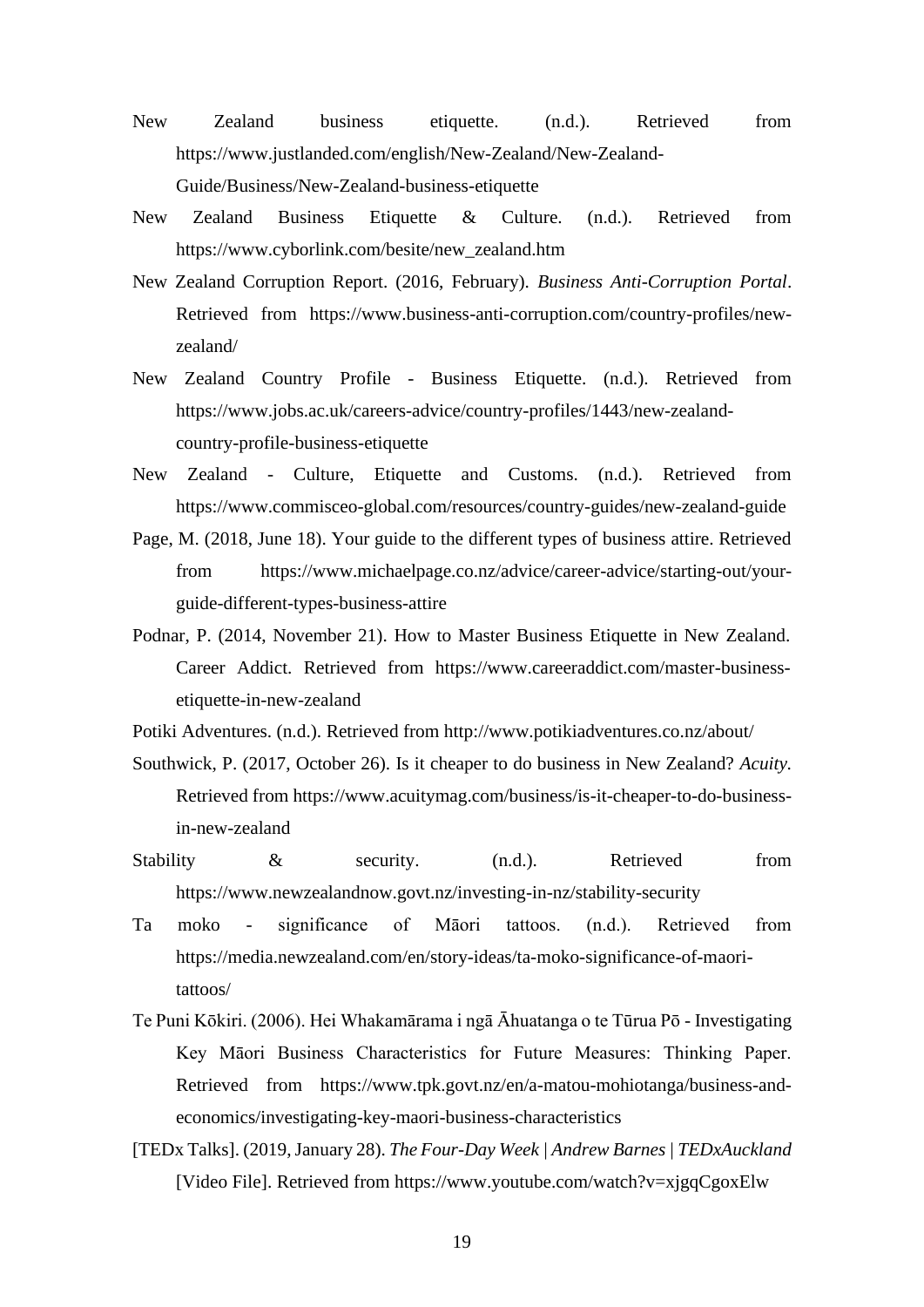- New Zealand business etiquette. (n.d.). Retrieved from https://www.justlanded.com/english/New-Zealand/New-Zealand-Guide/Business/New-Zealand-business-etiquette
- New Zealand Business Etiquette & Culture. (n.d.). Retrieved from https://www.cyborlink.com/besite/new\_zealand.htm
- New Zealand Corruption Report. (2016, February). *Business Anti-Corruption Portal*. Retrieved from https://www.business-anti-corruption.com/country-profiles/newzealand/
- New Zealand Country Profile Business Etiquette. (n.d.). Retrieved from https://www.jobs.ac.uk/careers-advice/country-profiles/1443/new-zealandcountry-profile-business-etiquette
- New Zealand Culture, Etiquette and Customs. (n.d.). Retrieved from <https://www.commisceo-global.com/resources/country-guides/new-zealand-guide>
- Page, M. (2018, June 18). Your guide to the different types of business attire. Retrieved from https://www.michaelpage.co.nz/advice/career-advice/starting-out/yourguide-different-types-business-attire
- Podnar, P. (2014, November 21). How to Master Business Etiquette in New Zealand. Career Addict. Retrieved from https://www.careeraddict.com/master-businessetiquette-in-new-zealand
- Potiki Adventures. (n.d.). Retrieved from<http://www.potikiadventures.co.nz/about/>
- Southwick, P. (2017, October 26). Is it cheaper to do business in New Zealand? *Acuity.* Retrieved from https://www.acuitymag.com/business/is-it-cheaper-to-do-businessin-new-zealand
- Stability & security. (n.d.). Retrieved from https://www.newzealandnow.govt.nz/investing-in-nz/stability-security
- Ta moko significance of Māori tattoos. (n.d.). Retrieved from [https://media.newzealand.com/en/story-ideas/ta-moko-significance-of-maori](https://media.newzealand.com/en/story-ideas/ta-moko-significance-of-maori-tattoos/)[tattoos/](https://media.newzealand.com/en/story-ideas/ta-moko-significance-of-maori-tattoos/)
- Te Puni Kōkiri. (2006). Hei Whakamārama i ngā Āhuatanga o te Tūrua Pō Investigating Key Māori Business Characteristics for Future Measures: Thinking Paper. Retrieved from https://www.tpk.govt.nz/en/a-matou-mohiotanga/business-andeconomics/investigating-key-maori-business-characteristics
- [TEDx Talks]. (2019, January 28). *The Four-Day Week | Andrew Barnes | TEDxAuckland* [Video File]. Retrieved from https://www.youtube.com/watch?v=xjgqCgoxElw